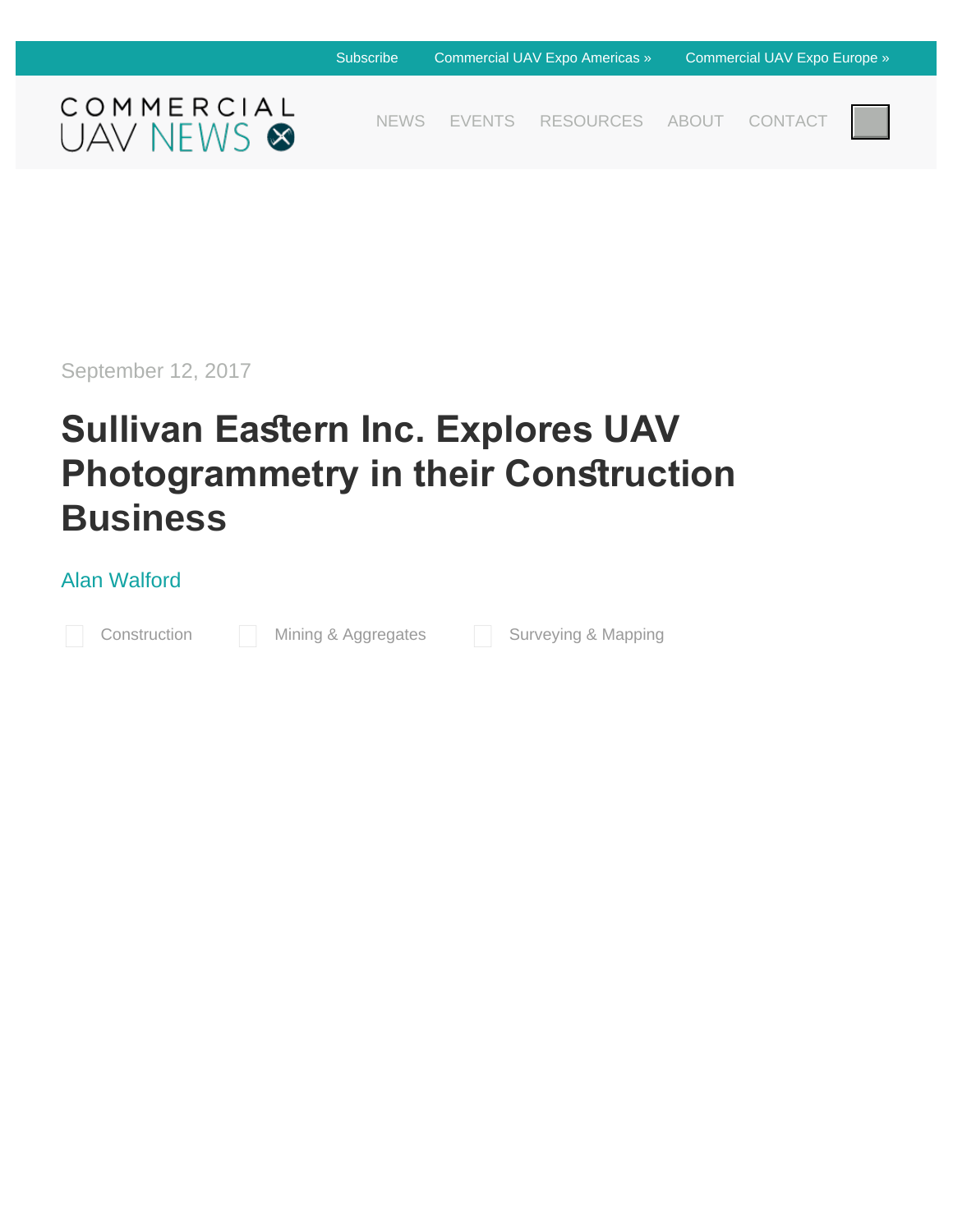

[NEWS](https://www.expouav.com/news/latest/) [EVENTS](https://www.expouav.com/news/events) [RESOURCES](https://www.expouav.com/news/resources/) [ABOUT](https://www.expouav.com/news/about/) [CONTACT](https://www.expouav.com/news/about/contact-us/)



September 12, 2017

# **Sullivan Eastern Inc. Explores UAV Photogrammetry in their Construction Business**

### [Alan Walford](https://www.expouav.com/news/latest/author/awolford/)

[Construction](https://www.expouav.com/news/latest/category/construction/) [Mining & Aggregates](https://www.expouav.com/news/latest/category/mining/) [Surveying & Mapping](https://www.expouav.com/news/latest/category/surveying/)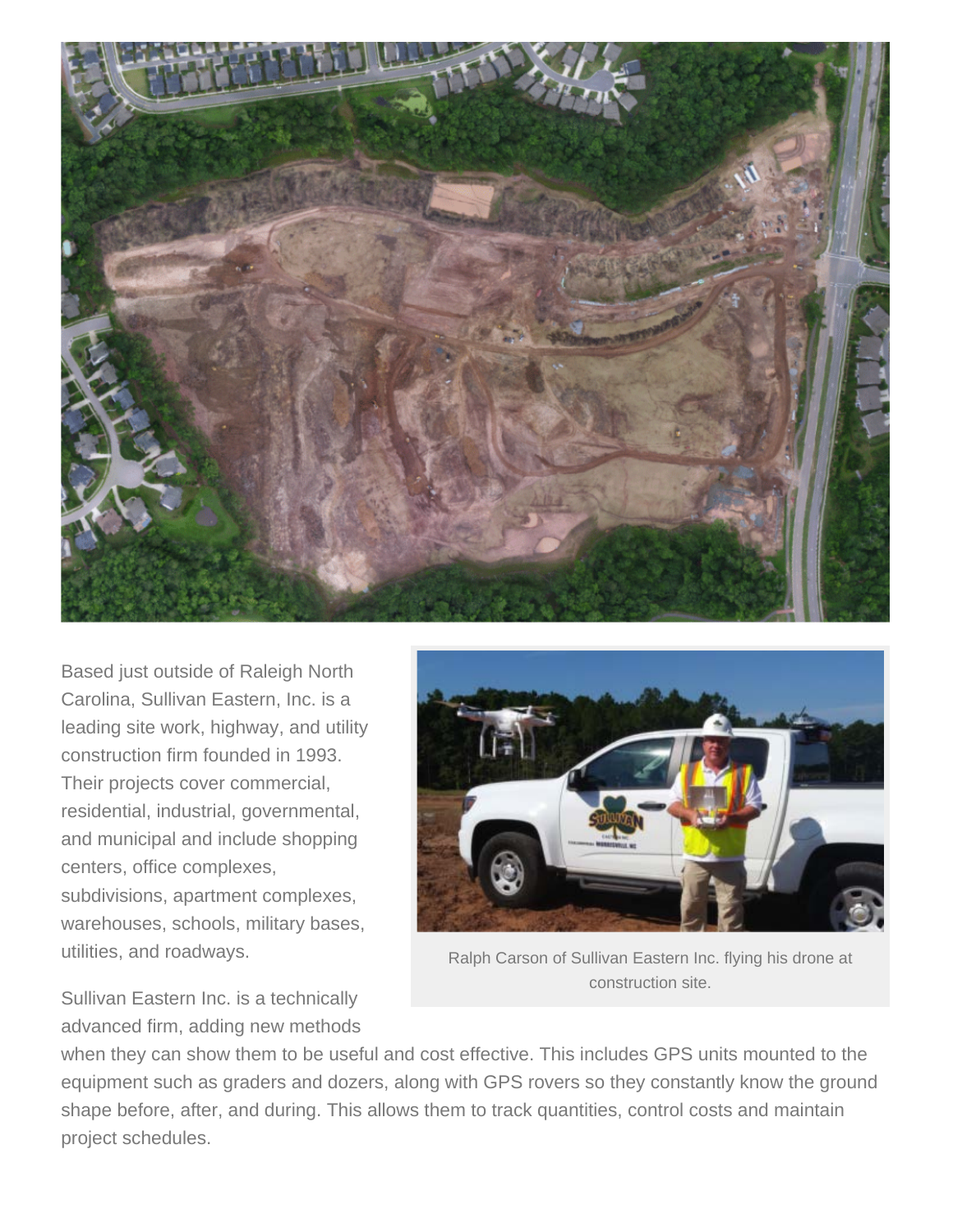

Based just outside of Raleigh North Carolina, Sullivan Eastern, Inc. is a leading site work, highway, and utility construction firm founded in 1993. Their projects cover commercial, residential, industrial, governmental, and municipal and include shopping centers, office complexes, subdivisions, apartment complexes, warehouses, schools, military bases, utilities, and roadways.



Ralph Carson of Sullivan Eastern Inc. flying his drone at construction site.

Sullivan Eastern Inc. is a technically advanced firm, adding new methods

when they can show them to be useful and cost effective. This includes GPS units mounted to the equipment such as graders and dozers, along with GPS rovers so they constantly know the ground shape before, after, and during. This allows them to track quantities, control costs and maintain project schedules.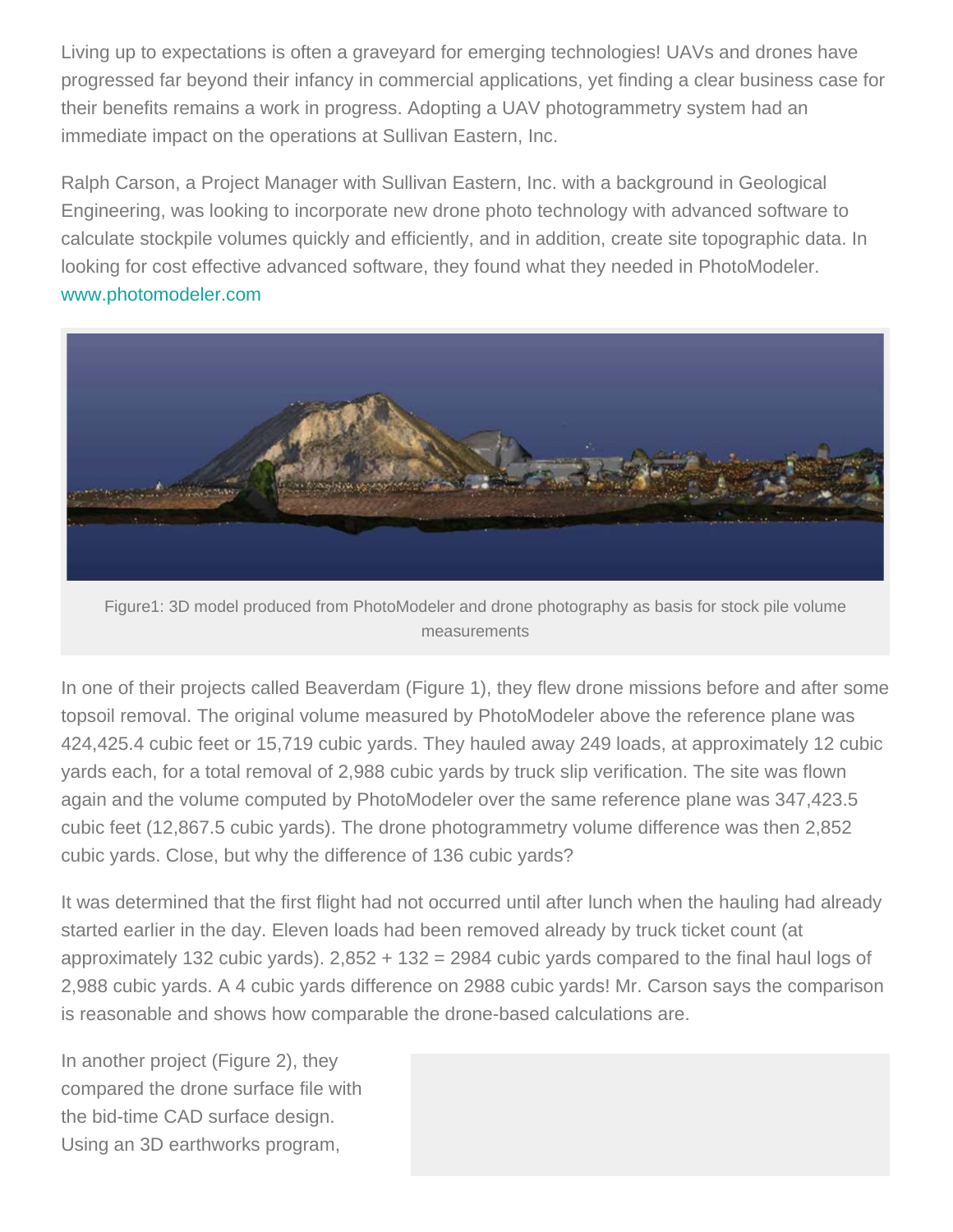Living up to expectations is often a graveyard for emerging technologies! UAVs and drones have progressed far beyond their infancy in commercial applications, yet finding a clear business case for their benefits remains a work in progress. Adopting a UAV photogrammetry system had an immediate impact on the operations at Sullivan Eastern, Inc.

Ralph Carson, a Project Manager with Sullivan Eastern, Inc. with a background in Geological Engineering, was looking to incorporate new drone photo technology with advanced software to calculate stockpile volumes quickly and efficiently, and in addition, create site topographic data. In looking for cost effective advanced software, they found what they needed in PhotoModeler. [www.photomodeler.com](http://www.photomodeler.com/)



Figure1: 3D model produced from PhotoModeler and drone photography as basis for stock pile volume measurements

In one of their projects called Beaverdam (Figure 1), they flew drone missions before and after some topsoil removal. The original volume measured by PhotoModeler above the reference plane was 424,425.4 cubic feet or 15,719 cubic yards. They hauled away 249 loads, at approximately 12 cubic yards each, for a total removal of 2,988 cubic yards by truck slip verification. The site was flown again and the volume computed by PhotoModeler over the same reference plane was 347,423.5 cubic feet (12,867.5 cubic yards). The drone photogrammetry volume difference was then 2,852 cubic yards. Close, but why the difference of 136 cubic yards?

It was determined that the first flight had not occurred until after lunch when the hauling had already started earlier in the day. Eleven loads had been removed already by truck ticket count (at approximately 132 cubic yards). 2,852 + 132 = 2984 cubic yards compared to the final haul logs of 2,988 cubic yards. A 4 cubic yards difference on 2988 cubic yards! Mr. Carson says the comparison is reasonable and shows how comparable the drone-based calculations are.

In another project (Figure 2), they compared the drone surface file with the bid-time CAD surface design. Using an 3D earthworks program,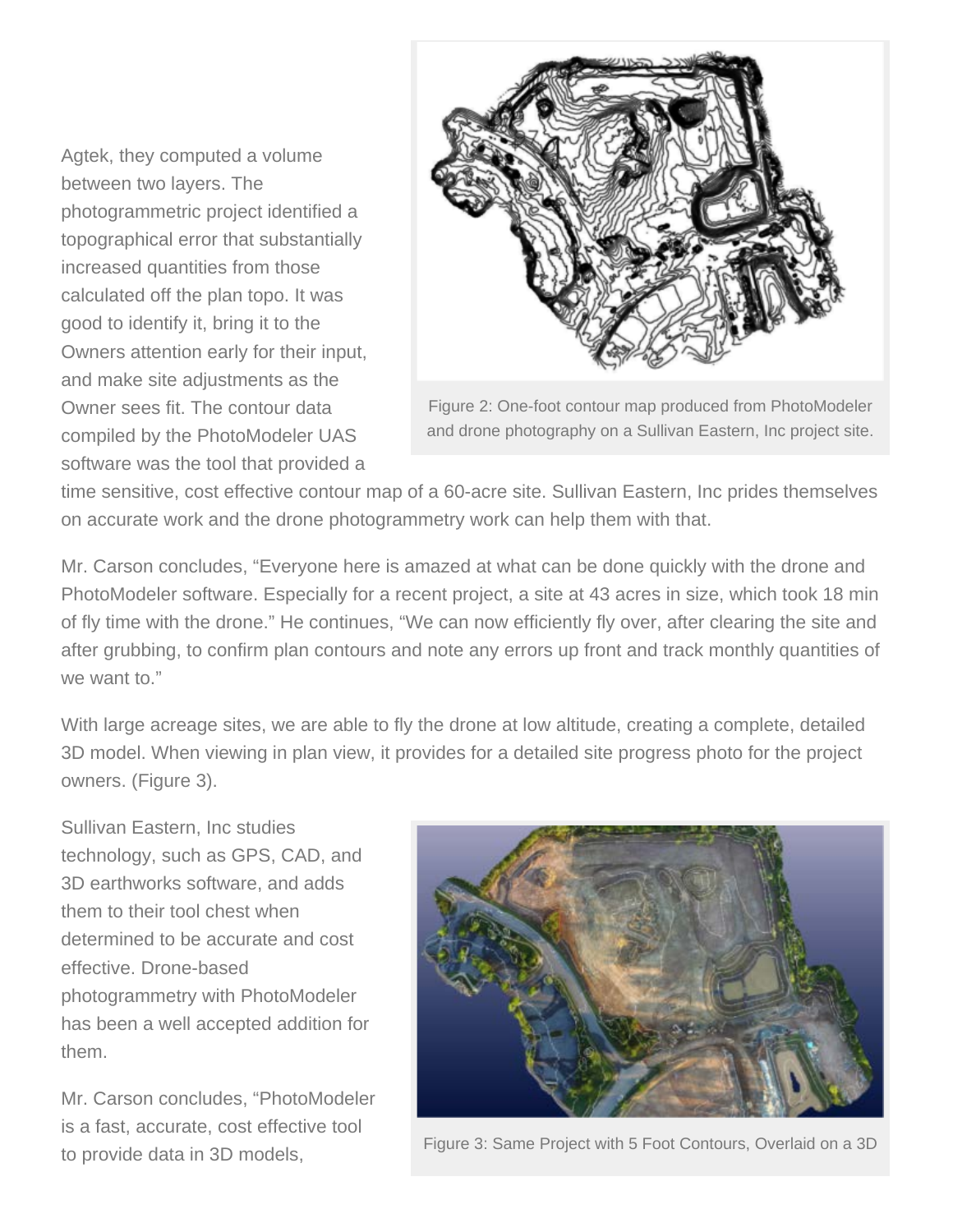Agtek, they computed a volume between two layers. The photogrammetric project identified a topographical error that substantially increased quantities from those calculated off the plan topo. It was good to identify it, bring it to the Owners attention early for their input, and make site adjustments as the Owner sees fit. The contour data compiled by the PhotoModeler UAS software was the tool that provided a



Figure 2: One-foot contour map produced from PhotoModeler and drone photography on a Sullivan Eastern, Inc project site.

time sensitive, cost effective contour map of a 60-acre site. Sullivan Eastern, Inc prides themselves on accurate work and the drone photogrammetry work can help them with that.

Mr. Carson concludes, "Everyone here is amazed at what can be done quickly with the drone and PhotoModeler software. Especially for a recent project, a site at 43 acres in size, which took 18 min of fly time with the drone." He continues, "We can now efficiently fly over, after clearing the site and after grubbing, to confirm plan contours and note any errors up front and track monthly quantities of we want to."

With large acreage sites, we are able to fly the drone at low altitude, creating a complete, detailed 3D model. When viewing in plan view, it provides for a detailed site progress photo for the project owners. (Figure 3).

Sullivan Eastern, Inc studies technology, such as GPS, CAD, and 3D earthworks software, and adds them to their tool chest when determined to be accurate and cost effective. Drone-based photogrammetry with PhotoModeler has been a well accepted addition for them.

Mr. Carson concludes, "PhotoModeler is a fast, accurate, cost effective tool to provide data in 3D models,



Figure 3: Same Project with 5 Foot Contours, Overlaid on a 3D